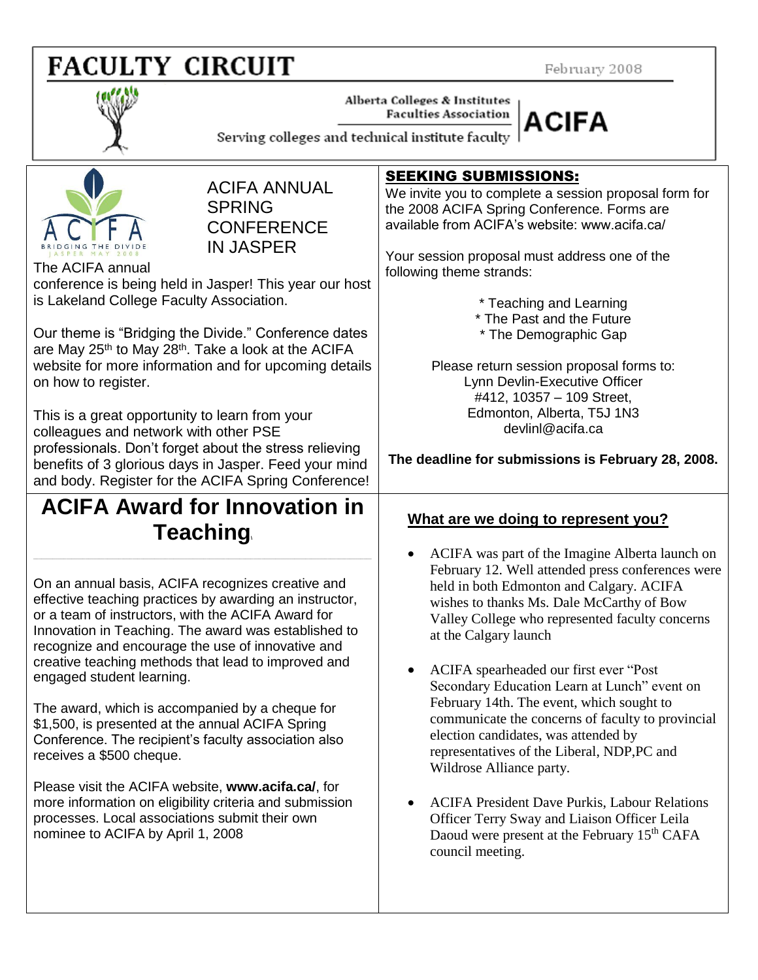# **FACULTY CIRCUIT**

February 2008



Alberta Colleges & Institutes **Faculties Association** 



Serving colleges and technical institute faculty



ACIFA ANNUAL **SPRING CONFERENCE** IN JASPER

The ACIFA annual conference is being held in Jasper! This year our host is Lakeland College Faculty Association.

Our theme is "Bridging the Divide." Conference dates are May 25<sup>th</sup> to May 28<sup>th</sup>. Take a look at the ACIFA website for more information and for upcoming details on how to register.

This is a great opportunity to learn from your colleagues and network with other PSE professionals. Don't forget about the stress relieving benefits of 3 glorious days in Jasper. Feed your mind and body. Register for the ACIFA Spring Conference!

# **ACIFA Award for Innovation in Teaching\**

**\_\_\_\_\_\_\_\_\_\_\_\_\_\_\_\_\_\_\_\_\_\_\_\_\_\_\_\_\_\_\_\_\_\_\_\_\_\_\_\_\_\_\_\_\_\_\_\_\_\_\_\_\_\_\_\_\_\_\_\_\_\_\_\_\_\_\_\_\_\_\_\_\_\_\_\_\_\_\_\_\_\_\_\_\_\_\_\_\_\_\_\_\_\_\_\_\_\_\_\_\_\_\_\_\_\_\_\_\_\_\_\_\_\_\_\_\_\_\_\_\_\_\_**

On an annual basis, ACIFA recognizes creative and effective teaching practices by awarding an instructor, or a team of instructors, with the ACIFA Award for Innovation in Teaching. The award was established to recognize and encourage the use of innovative and creative teaching methods that lead to improved and engaged student learning.

The award, which is accompanied by a cheque for \$1,500, is presented at the annual ACIFA Spring Conference. The recipient's faculty association also receives a \$500 cheque.

Please visit the ACIFA website, **www.acifa.ca/**, for more information on eligibility criteria and submission processes. Local associations submit their own nominee to ACIFA by April 1, 2008

#### SEEKING SUBMISSIONS:

We invite you to complete a session proposal form for the 2008 ACIFA Spring Conference. Forms are available from ACIFA's website: www.acifa.ca/

Your session proposal must address one of the following theme strands:

\* Teaching and Learning

- \* The Past and the Future
- \* The Demographic Gap

Please return session proposal forms to: Lynn Devlin-Executive Officer #412, 10357 – 109 Street, Edmonton, Alberta, T5J 1N3 devlinl@acifa.ca

### **The deadline for submissions is February 28, 2008.**

### **What are we doing to represent you?**

- ACIFA was part of the Imagine Alberta launch on February 12. Well attended press conferences were held in both Edmonton and Calgary. ACIFA wishes to thanks Ms. Dale McCarthy of Bow Valley College who represented faculty concerns at the Calgary launch
- ACIFA spearheaded our first ever "Post Secondary Education Learn at Lunch" event on February 14th. The event, which sought to communicate the concerns of faculty to provincial election candidates, was attended by representatives of the Liberal, NDP,PC and Wildrose Alliance party.
- ACIFA President Dave Purkis, Labour Relations Officer Terry Sway and Liaison Officer Leila Daoud were present at the February 15<sup>th</sup> CAFA council meeting.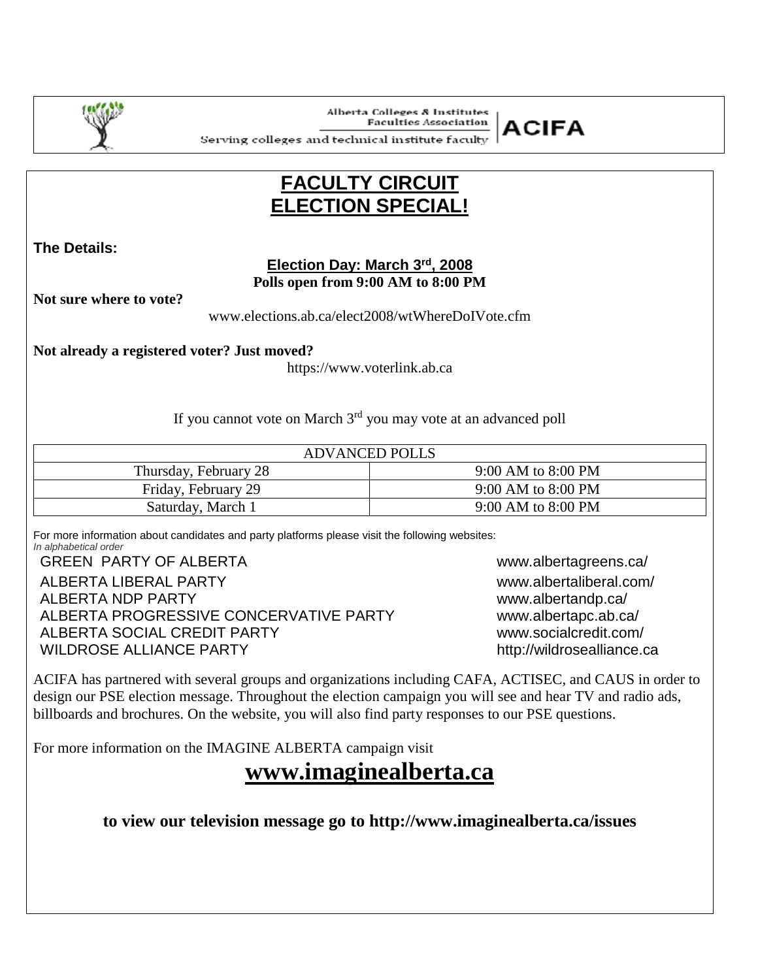

**Alberta Colleges & Institutes Faculties Association** 



Serving colleges and technical institute faculty  $\,|\,$ 

## **FACULTY CIRCUIT ELECTION SPECIAL!**

**The Details:**

 $\overline{a}$ 

#### **Election Day: March 3rd , 2008 Polls open from 9:00 AM to 8:00 PM**

**Not sure where to vote?** 

www.elections.ab.ca/elect2008/wtWhereDoIVote.cfm

**Not already a registered voter? Just moved?**

https://www.voterlink.ab.ca

If you cannot vote on March 3rd you may vote at an advanced poll

| <b>ADVANCED POLLS</b> |                    |  |  |  |  |
|-----------------------|--------------------|--|--|--|--|
| Thursday, February 28 | 9:00 AM to 8:00 PM |  |  |  |  |
| Friday, February 29   | 9:00 AM to 8:00 PM |  |  |  |  |
| Saturday, March 1     | 9:00 AM to 8:00 PM |  |  |  |  |

For more information about candidates and party platforms please visit the following websites: *In alphabetical order*

GREEN PARTY OF ALBERTA WWW.albertagreens.ca/ ALBERTA LIBERAL PARTY www.albertaliberal.com/ ALBERTA NDP PARTY www.albertandp.ca/ ALBERTA PROGRESSIVE CONCERVATIVE PARTY www.albertapc.ab.ca/ ALBERTA SOCIAL CREDIT PARTY www.socialcredit.com/ WILDROSE ALLIANCE PARTY http://wildrosealliance.ca

ACIFA has partnered with several groups and organizations including CAFA, ACTISEC, and CAUS in order to design our PSE election message. Throughout the election campaign you will see and hear TV and radio ads, billboards and brochures. On the website, you will also find party responses to our PSE questions.

For more information on the IMAGINE ALBERTA campaign visit

**www.imaginealberta.ca**

**to view our television message go to http://www.imaginealberta.ca/issues**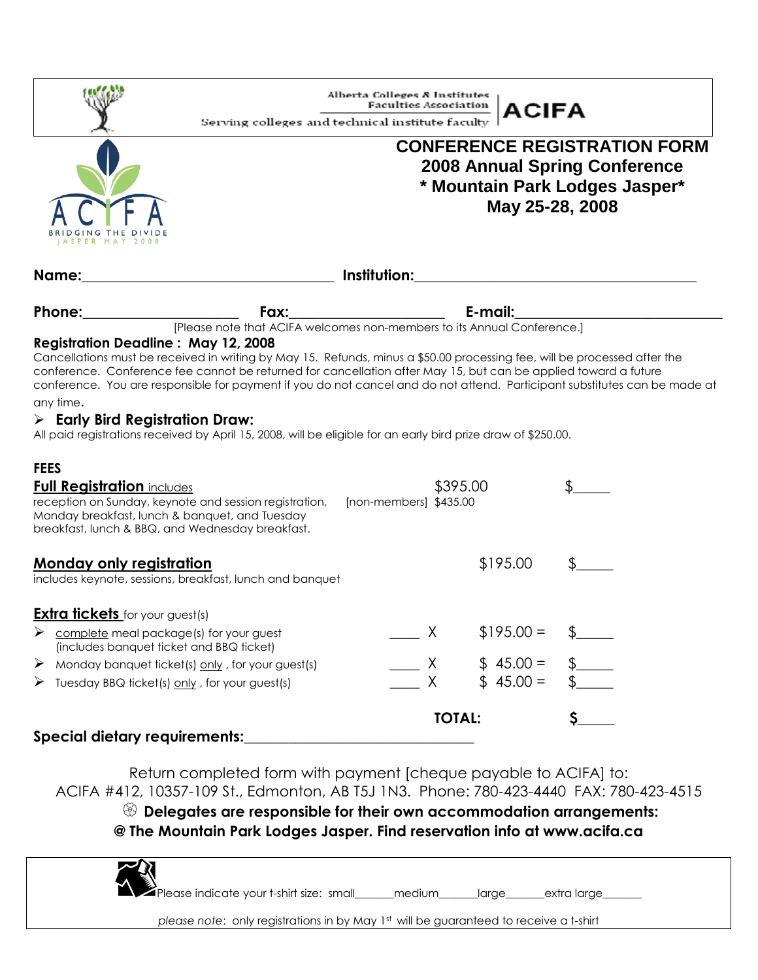|                                                                                                                                                                                                                                                                                                                                              | Serving colleges and technical institute faculty                                       | Alberta Colleges & Institutes<br><b>Faculties Association</b> |                                                                                                                                  | ACIFA                                                                                                                |  |                                          |  |
|----------------------------------------------------------------------------------------------------------------------------------------------------------------------------------------------------------------------------------------------------------------------------------------------------------------------------------------------|----------------------------------------------------------------------------------------|---------------------------------------------------------------|----------------------------------------------------------------------------------------------------------------------------------|----------------------------------------------------------------------------------------------------------------------|--|------------------------------------------|--|
| ER MAY                                                                                                                                                                                                                                                                                                                                       |                                                                                        |                                                               | <b>CONFERENCE REGISTRATION FORM</b><br><b>2008 Annual Spring Conference</b><br>* Mountain Park Lodges Jasper*<br>May 25-28, 2008 |                                                                                                                      |  |                                          |  |
| Name:                                                                                                                                                                                                                                                                                                                                        |                                                                                        |                                                               |                                                                                                                                  | <u> 1980 - Johann Barn, mars ann an t-Amhain Aonaich an t-Aonaich an t-Aonaich ann an t-Aonaich ann an t-Aonaich</u> |  |                                          |  |
| Phone:                                                                                                                                                                                                                                                                                                                                       | <b>Fax:</b><br>[Please note that ACIFA welcomes non-members to its Annual Conference.] |                                                               |                                                                                                                                  |                                                                                                                      |  | <u> 1989 - Johann Barbara, martxa al</u> |  |
| any time.<br>$\triangleright$ Early Bird Registration Draw:<br>All paid registrations received by April 15, 2008, will be eligible for an early bird prize draw of \$250.00.<br><b>FEES</b><br><b>Full Registration includes</b><br>reception on Sunday, keynote and session registration,<br>Monday breakfast, lunch & banquet, and Tuesday |                                                                                        | $[non-members]$ \$435.00                                      | \$395.00                                                                                                                         |                                                                                                                      |  |                                          |  |
| breakfast, lunch & BBQ, and Wednesday breakfast.                                                                                                                                                                                                                                                                                             |                                                                                        |                                                               |                                                                                                                                  |                                                                                                                      |  |                                          |  |
| <u>Monday only registration</u><br>includes keynote, sessions, breakfast, lunch and banquet                                                                                                                                                                                                                                                  |                                                                                        |                                                               |                                                                                                                                  | \$195.00                                                                                                             |  |                                          |  |
| <b>Extra tickets</b> for your guest(s)                                                                                                                                                                                                                                                                                                       |                                                                                        |                                                               |                                                                                                                                  |                                                                                                                      |  |                                          |  |
| ➤<br>complete meal package(s) for your guest<br>(includes banquet ticket and BBQ ticket)                                                                                                                                                                                                                                                     |                                                                                        | Χ                                                             |                                                                                                                                  | $$195.00 =$                                                                                                          |  |                                          |  |
| Monday banquet ticket(s) only, for your guest(s)<br>➤<br>Tuesday BBQ ticket(s) only, for your guest(s)<br>➤                                                                                                                                                                                                                                  |                                                                                        | X.<br>X                                                       |                                                                                                                                  | $$45.00 =$<br>$$45.00 =$                                                                                             |  |                                          |  |
|                                                                                                                                                                                                                                                                                                                                              | <b>TOTAL:</b>                                                                          |                                                               |                                                                                                                                  |                                                                                                                      |  |                                          |  |
| Special dietary requirements:                                                                                                                                                                                                                                                                                                                |                                                                                        |                                                               |                                                                                                                                  |                                                                                                                      |  |                                          |  |

Return completed form with payment [cheque payable to ACIFA] to: ACIFA #412, 10357-109 St., Edmonton, AB T5J 1N3. Phone: 780-423-4440 FAX: 780-423-4515

 **Delegates are responsible for their own accommodation arrangements: @ The Mountain Park Lodges Jasper. Find reservation info at www.acifa.ca**

 $\blacktriangleright$ Please indicate your t-shirt size: small\_\_\_\_\_\_medium\_\_\_\_\_\_large\_\_\_\_\_\_extra large\_

*please note*: only registrations in by May 1st will be guaranteed to receive a t-shirt